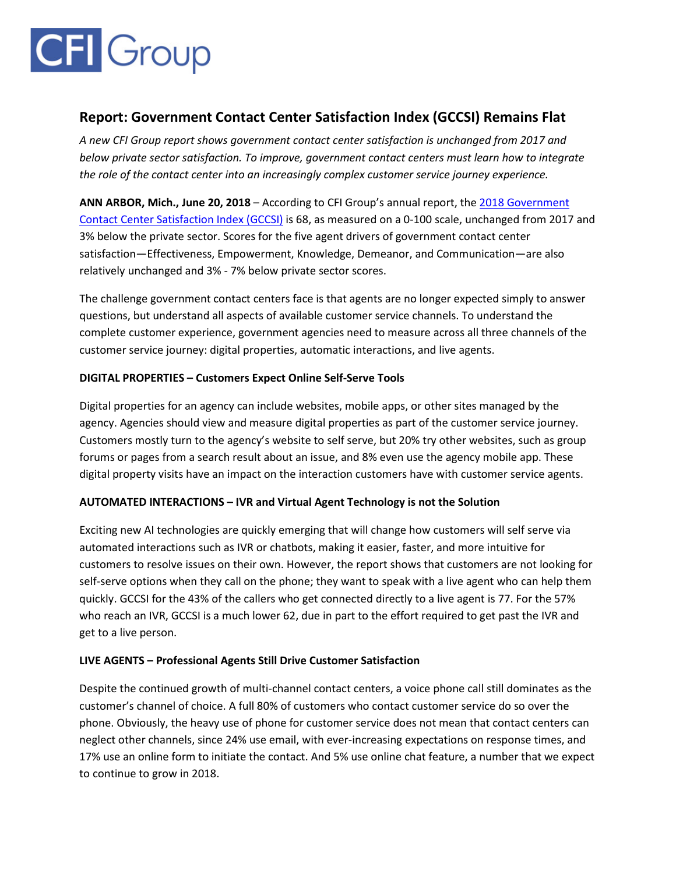# **CFI** Group

## **Report: Government Contact Center Satisfaction Index (GCCSI) Remains Flat**

*A new CFI Group report shows government contact center satisfaction is unchanged from 2017 and below private sector satisfaction. To improve, government contact centers must learn how to integrate the role of the contact center into an increasingly complex customer service journey experience.*

**ANN ARBOR, Mich., June 20, 2018** – According to CFI Group's annual report, the [2018 Government](https://cfigroup.com/resource-item/gccsi-2018/)  [Contact Center Satisfaction Index \(GCCSI\)](https://cfigroup.com/resource-item/gccsi-2018/) is 68, as measured on a 0-100 scale, unchanged from 2017 and 3% below the private sector. Scores for the five agent drivers of government contact center satisfaction—Effectiveness, Empowerment, Knowledge, Demeanor, and Communication—are also relatively unchanged and 3% - 7% below private sector scores.

The challenge government contact centers face is that agents are no longer expected simply to answer questions, but understand all aspects of available customer service channels. To understand the complete customer experience, government agencies need to measure across all three channels of the customer service journey: digital properties, automatic interactions, and live agents.

### **DIGITAL PROPERTIES – Customers Expect Online Self-Serve Tools**

Digital properties for an agency can include websites, mobile apps, or other sites managed by the agency. Agencies should view and measure digital properties as part of the customer service journey. Customers mostly turn to the agency's website to self serve, but 20% try other websites, such as group forums or pages from a search result about an issue, and 8% even use the agency mobile app. These digital property visits have an impact on the interaction customers have with customer service agents.

### **AUTOMATED INTERACTIONS – IVR and Virtual Agent Technology is not the Solution**

Exciting new AI technologies are quickly emerging that will change how customers will self serve via automated interactions such as IVR or chatbots, making it easier, faster, and more intuitive for customers to resolve issues on their own. However, the report shows that customers are not looking for self-serve options when they call on the phone; they want to speak with a live agent who can help them quickly. GCCSI for the 43% of the callers who get connected directly to a live agent is 77. For the 57% who reach an IVR, GCCSI is a much lower 62, due in part to the effort required to get past the IVR and get to a live person.

### **LIVE AGENTS – Professional Agents Still Drive Customer Satisfaction**

Despite the continued growth of multi-channel contact centers, a voice phone call still dominates as the customer's channel of choice. A full 80% of customers who contact customer service do so over the phone. Obviously, the heavy use of phone for customer service does not mean that contact centers can neglect other channels, since 24% use email, with ever-increasing expectations on response times, and 17% use an online form to initiate the contact. And 5% use online chat feature, a number that we expect to continue to grow in 2018.